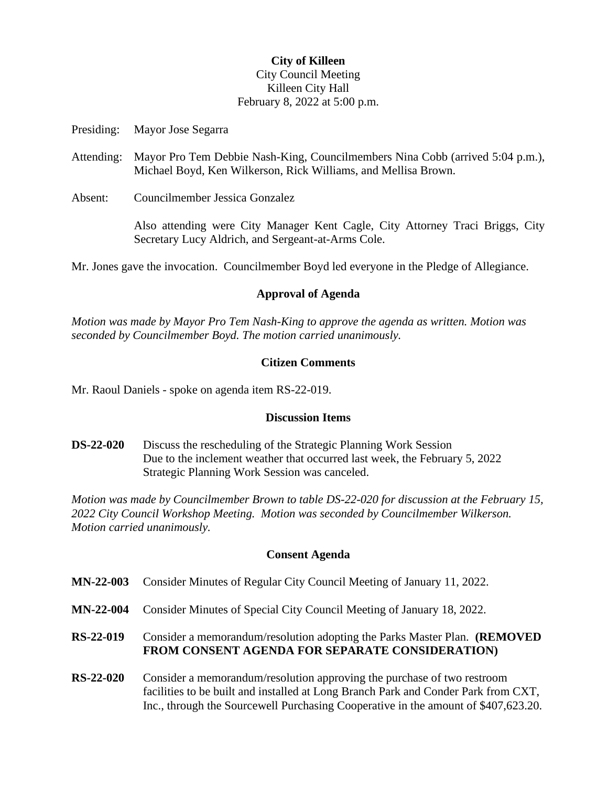# **City of Killeen** City Council Meeting Killeen City Hall February 8, 2022 at 5:00 p.m.

Presiding: Mayor Jose Segarra

- Attending: Mayor Pro Tem Debbie Nash-King, Councilmembers Nina Cobb (arrived 5:04 p.m.), Michael Boyd, Ken Wilkerson, Rick Williams, and Mellisa Brown.
- Absent: Councilmember Jessica Gonzalez

Also attending were City Manager Kent Cagle, City Attorney Traci Briggs, City Secretary Lucy Aldrich, and Sergeant-at-Arms Cole.

Mr. Jones gave the invocation. Councilmember Boyd led everyone in the Pledge of Allegiance.

## **Approval of Agenda**

*Motion was made by Mayor Pro Tem Nash-King to approve the agenda as written. Motion was seconded by Councilmember Boyd. The motion carried unanimously.*

#### **Citizen Comments**

Mr. Raoul Daniels - spoke on agenda item RS-22-019.

#### **Discussion Items**

**DS-22-020** Discuss the rescheduling of the Strategic Planning Work Session Due to the inclement weather that occurred last week, the February 5, 2022 Strategic Planning Work Session was canceled.

*Motion was made by Councilmember Brown to table DS-22-020 for discussion at the February 15, 2022 City Council Workshop Meeting. Motion was seconded by Councilmember Wilkerson. Motion carried unanimously.*

## **Consent Agenda**

- **MN-22-003** Consider Minutes of Regular City Council Meeting of January 11, 2022.
- **MN-22-004** Consider Minutes of Special City Council Meeting of January 18, 2022.

## **RS-22-019** Consider a memorandum/resolution adopting the Parks Master Plan. **(REMOVED FROM CONSENT AGENDA FOR SEPARATE CONSIDERATION)**

**RS-22-020** Consider a memorandum/resolution approving the purchase of two restroom facilities to be built and installed at Long Branch Park and Conder Park from CXT, Inc., through the Sourcewell Purchasing Cooperative in the amount of \$407,623.20.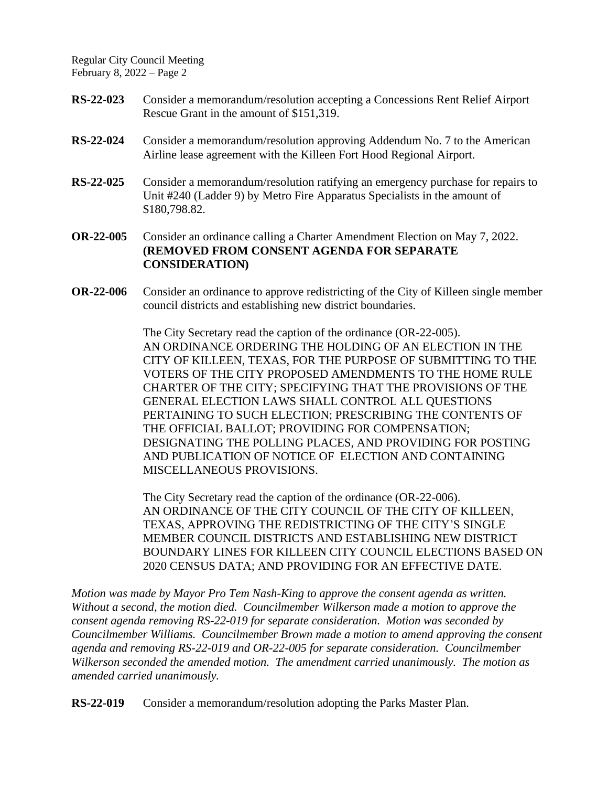Regular City Council Meeting February 8, 2022 – Page 2

- **RS-22-023** Consider a memorandum/resolution accepting a Concessions Rent Relief Airport Rescue Grant in the amount of \$151,319.
- **RS-22-024** Consider a memorandum/resolution approving Addendum No. 7 to the American Airline lease agreement with the Killeen Fort Hood Regional Airport.
- **RS-22-025** Consider a memorandum/resolution ratifying an emergency purchase for repairs to Unit #240 (Ladder 9) by Metro Fire Apparatus Specialists in the amount of \$180,798.82.
- **OR-22-005** Consider an ordinance calling a Charter Amendment Election on May 7, 2022. **(REMOVED FROM CONSENT AGENDA FOR SEPARATE CONSIDERATION)**
- **OR-22-006** Consider an ordinance to approve redistricting of the City of Killeen single member council districts and establishing new district boundaries.

The City Secretary read the caption of the ordinance (OR-22-005). AN ORDINANCE ORDERING THE HOLDING OF AN ELECTION IN THE CITY OF KILLEEN, TEXAS, FOR THE PURPOSE OF SUBMITTING TO THE VOTERS OF THE CITY PROPOSED AMENDMENTS TO THE HOME RULE CHARTER OF THE CITY; SPECIFYING THAT THE PROVISIONS OF THE GENERAL ELECTION LAWS SHALL CONTROL ALL QUESTIONS PERTAINING TO SUCH ELECTION; PRESCRIBING THE CONTENTS OF THE OFFICIAL BALLOT; PROVIDING FOR COMPENSATION; DESIGNATING THE POLLING PLACES, AND PROVIDING FOR POSTING AND PUBLICATION OF NOTICE OF ELECTION AND CONTAINING MISCELLANEOUS PROVISIONS.

The City Secretary read the caption of the ordinance (OR-22-006). AN ORDINANCE OF THE CITY COUNCIL OF THE CITY OF KILLEEN, TEXAS, APPROVING THE REDISTRICTING OF THE CITY'S SINGLE MEMBER COUNCIL DISTRICTS AND ESTABLISHING NEW DISTRICT BOUNDARY LINES FOR KILLEEN CITY COUNCIL ELECTIONS BASED ON 2020 CENSUS DATA; AND PROVIDING FOR AN EFFECTIVE DATE.

*Motion was made by Mayor Pro Tem Nash-King to approve the consent agenda as written. Without a second, the motion died. Councilmember Wilkerson made a motion to approve the consent agenda removing RS-22-019 for separate consideration. Motion was seconded by Councilmember Williams. Councilmember Brown made a motion to amend approving the consent agenda and removing RS-22-019 and OR-22-005 for separate consideration. Councilmember Wilkerson seconded the amended motion. The amendment carried unanimously. The motion as amended carried unanimously.*

**RS-22-019** Consider a memorandum/resolution adopting the Parks Master Plan.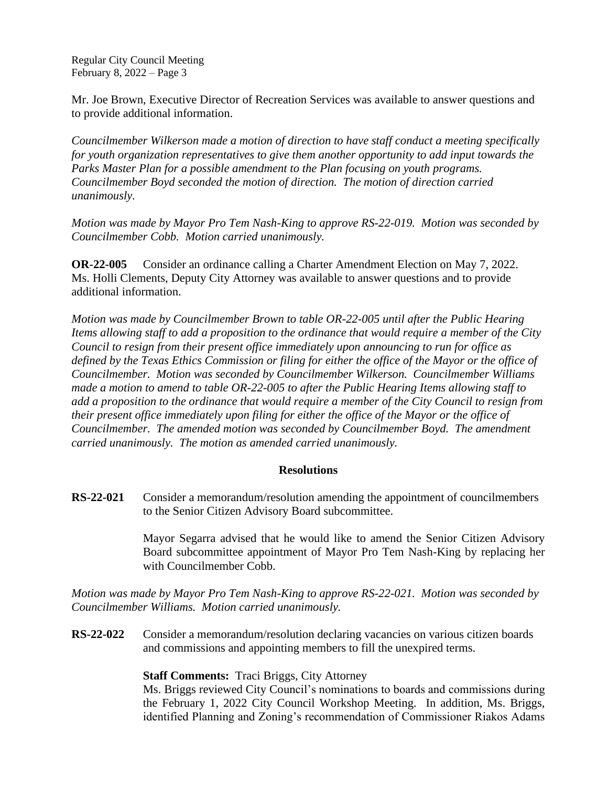Regular City Council Meeting February 8, 2022 – Page 3

Mr. Joe Brown, Executive Director of Recreation Services was available to answer questions and to provide additional information.

*Councilmember Wilkerson made a motion of direction to have staff conduct a meeting specifically for youth organization representatives to give them another opportunity to add input towards the Parks Master Plan for a possible amendment to the Plan focusing on youth programs. Councilmember Boyd seconded the motion of direction. The motion of direction carried unanimously.*

*Motion was made by Mayor Pro Tem Nash-King to approve RS-22-019. Motion was seconded by Councilmember Cobb. Motion carried unanimously.*

**OR-22-005** Consider an ordinance calling a Charter Amendment Election on May 7, 2022. Ms. Holli Clements, Deputy City Attorney was available to answer questions and to provide additional information.

*Motion was made by Councilmember Brown to table OR-22-005 until after the Public Hearing Items allowing staff to add a proposition to the ordinance that would require a member of the City Council to resign from their present office immediately upon announcing to run for office as defined by the Texas Ethics Commission or filing for either the office of the Mayor or the office of Councilmember. Motion was seconded by Councilmember Wilkerson. Councilmember Williams made a motion to amend to table OR-22-005 to after the Public Hearing Items allowing staff to add a proposition to the ordinance that would require a member of the City Council to resign from their present office immediately upon filing for either the office of the Mayor or the office of Councilmember. The amended motion was seconded by Councilmember Boyd. The amendment carried unanimously. The motion as amended carried unanimously.*

## **Resolutions**

**RS-22-021** Consider a memorandum/resolution amending the appointment of councilmembers to the Senior Citizen Advisory Board subcommittee.

> Mayor Segarra advised that he would like to amend the Senior Citizen Advisory Board subcommittee appointment of Mayor Pro Tem Nash-King by replacing her with Councilmember Cobb.

*Motion was made by Mayor Pro Tem Nash-King to approve RS-22-021. Motion was seconded by Councilmember Williams. Motion carried unanimously.*

**RS-22-022** Consider a memorandum/resolution declaring vacancies on various citizen boards and commissions and appointing members to fill the unexpired terms.

## **Staff Comments:** Traci Briggs, City Attorney

Ms. Briggs reviewed City Council's nominations to boards and commissions during the February 1, 2022 City Council Workshop Meeting. In addition, Ms. Briggs, identified Planning and Zoning's recommendation of Commissioner Riakos Adams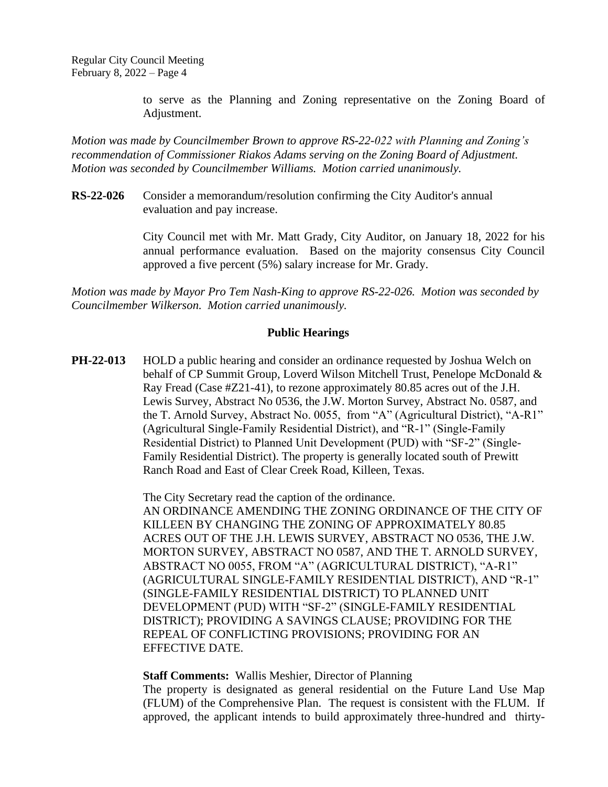to serve as the Planning and Zoning representative on the Zoning Board of Adjustment.

*Motion was made by Councilmember Brown to approve RS-22-022 with Planning and Zoning's recommendation of Commissioner Riakos Adams serving on the Zoning Board of Adjustment. Motion was seconded by Councilmember Williams. Motion carried unanimously.*

**RS-22-026** Consider a memorandum/resolution confirming the City Auditor's annual evaluation and pay increase.

> City Council met with Mr. Matt Grady, City Auditor, on January 18, 2022 for his annual performance evaluation. Based on the majority consensus City Council approved a five percent (5%) salary increase for Mr. Grady.

*Motion was made by Mayor Pro Tem Nash-King to approve RS-22-026. Motion was seconded by Councilmember Wilkerson. Motion carried unanimously.*

## **Public Hearings**

**PH-22-013** HOLD a public hearing and consider an ordinance requested by Joshua Welch on behalf of CP Summit Group, Loverd Wilson Mitchell Trust, Penelope McDonald & Ray Fread (Case #Z21-41), to rezone approximately 80.85 acres out of the J.H. Lewis Survey, Abstract No 0536, the J.W. Morton Survey, Abstract No. 0587, and the T. Arnold Survey, Abstract No. 0055, from "A" (Agricultural District), "A-R1" (Agricultural Single-Family Residential District), and "R-1" (Single-Family Residential District) to Planned Unit Development (PUD) with "SF-2" (Single-Family Residential District). The property is generally located south of Prewitt Ranch Road and East of Clear Creek Road, Killeen, Texas.

> The City Secretary read the caption of the ordinance. AN ORDINANCE AMENDING THE ZONING ORDINANCE OF THE CITY OF KILLEEN BY CHANGING THE ZONING OF APPROXIMATELY 80.85 ACRES OUT OF THE J.H. LEWIS SURVEY, ABSTRACT NO 0536, THE J.W. MORTON SURVEY, ABSTRACT NO 0587, AND THE T. ARNOLD SURVEY, ABSTRACT NO 0055, FROM "A" (AGRICULTURAL DISTRICT), "A-R1" (AGRICULTURAL SINGLE-FAMILY RESIDENTIAL DISTRICT), AND "R-1" (SINGLE-FAMILY RESIDENTIAL DISTRICT) TO PLANNED UNIT DEVELOPMENT (PUD) WITH "SF-2" (SINGLE-FAMILY RESIDENTIAL DISTRICT); PROVIDING A SAVINGS CLAUSE; PROVIDING FOR THE REPEAL OF CONFLICTING PROVISIONS; PROVIDING FOR AN EFFECTIVE DATE.

**Staff Comments:** Wallis Meshier, Director of Planning

The property is designated as general residential on the Future Land Use Map (FLUM) of the Comprehensive Plan. The request is consistent with the FLUM. If approved, the applicant intends to build approximately three-hundred and thirty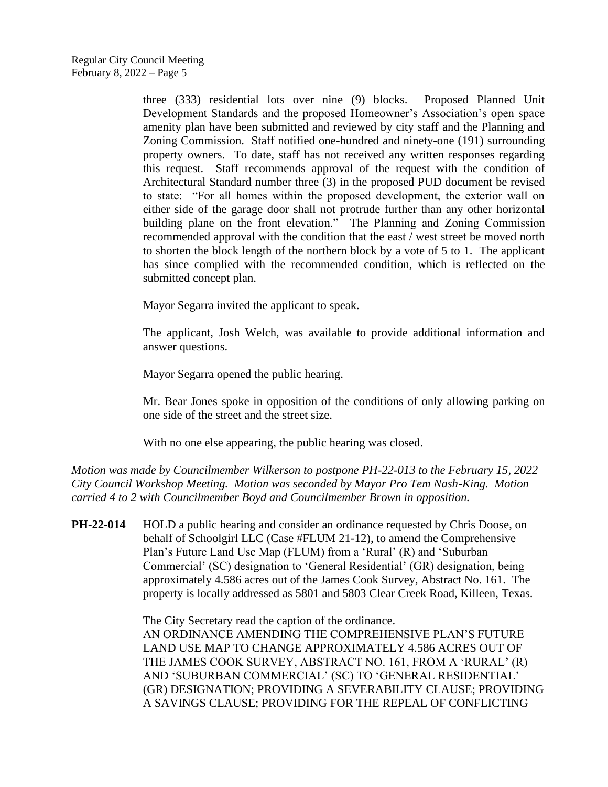three (333) residential lots over nine (9) blocks. Proposed Planned Unit Development Standards and the proposed Homeowner's Association's open space amenity plan have been submitted and reviewed by city staff and the Planning and Zoning Commission. Staff notified one-hundred and ninety-one (191) surrounding property owners. To date, staff has not received any written responses regarding this request. Staff recommends approval of the request with the condition of Architectural Standard number three (3) in the proposed PUD document be revised to state: "For all homes within the proposed development, the exterior wall on either side of the garage door shall not protrude further than any other horizontal building plane on the front elevation." The Planning and Zoning Commission recommended approval with the condition that the east / west street be moved north to shorten the block length of the northern block by a vote of 5 to 1. The applicant has since complied with the recommended condition, which is reflected on the submitted concept plan.

Mayor Segarra invited the applicant to speak.

The applicant, Josh Welch, was available to provide additional information and answer questions.

Mayor Segarra opened the public hearing.

Mr. Bear Jones spoke in opposition of the conditions of only allowing parking on one side of the street and the street size.

With no one else appearing, the public hearing was closed.

*Motion was made by Councilmember Wilkerson to postpone PH-22-013 to the February 15, 2022 City Council Workshop Meeting. Motion was seconded by Mayor Pro Tem Nash-King. Motion carried 4 to 2 with Councilmember Boyd and Councilmember Brown in opposition.*

**PH-22-014** HOLD a public hearing and consider an ordinance requested by Chris Doose, on behalf of Schoolgirl LLC (Case #FLUM 21-12), to amend the Comprehensive Plan's Future Land Use Map (FLUM) from a 'Rural' (R) and 'Suburban Commercial' (SC) designation to 'General Residential' (GR) designation, being approximately 4.586 acres out of the James Cook Survey, Abstract No. 161. The property is locally addressed as 5801 and 5803 Clear Creek Road, Killeen, Texas.

> The City Secretary read the caption of the ordinance. AN ORDINANCE AMENDING THE COMPREHENSIVE PLAN'S FUTURE LAND USE MAP TO CHANGE APPROXIMATELY 4.586 ACRES OUT OF THE JAMES COOK SURVEY, ABSTRACT NO. 161, FROM A 'RURAL' (R) AND 'SUBURBAN COMMERCIAL' (SC) TO 'GENERAL RESIDENTIAL' (GR) DESIGNATION; PROVIDING A SEVERABILITY CLAUSE; PROVIDING A SAVINGS CLAUSE; PROVIDING FOR THE REPEAL OF CONFLICTING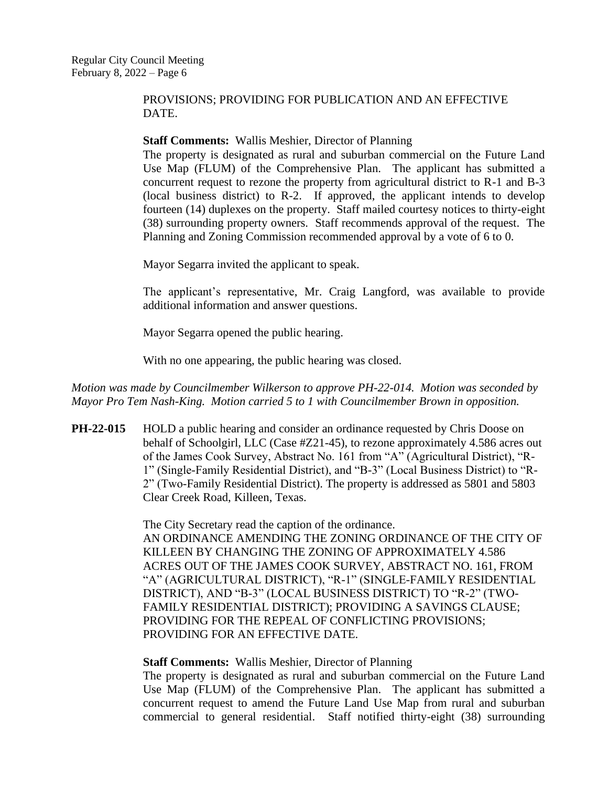## PROVISIONS; PROVIDING FOR PUBLICATION AND AN EFFECTIVE DATE.

#### **Staff Comments:** Wallis Meshier, Director of Planning

The property is designated as rural and suburban commercial on the Future Land Use Map (FLUM) of the Comprehensive Plan. The applicant has submitted a concurrent request to rezone the property from agricultural district to R-1 and B-3 (local business district) to R-2. If approved, the applicant intends to develop fourteen (14) duplexes on the property. Staff mailed courtesy notices to thirty-eight (38) surrounding property owners. Staff recommends approval of the request. The Planning and Zoning Commission recommended approval by a vote of 6 to 0.

Mayor Segarra invited the applicant to speak.

The applicant's representative, Mr. Craig Langford, was available to provide additional information and answer questions.

Mayor Segarra opened the public hearing.

With no one appearing, the public hearing was closed.

*Motion was made by Councilmember Wilkerson to approve PH-22-014. Motion was seconded by Mayor Pro Tem Nash-King. Motion carried 5 to 1 with Councilmember Brown in opposition.*

**PH-22-015** HOLD a public hearing and consider an ordinance requested by Chris Doose on behalf of Schoolgirl, LLC (Case #Z21-45), to rezone approximately 4.586 acres out of the James Cook Survey, Abstract No. 161 from "A" (Agricultural District), "R-1" (Single-Family Residential District), and "B-3" (Local Business District) to "R-2" (Two-Family Residential District). The property is addressed as 5801 and 5803 Clear Creek Road, Killeen, Texas.

> The City Secretary read the caption of the ordinance. AN ORDINANCE AMENDING THE ZONING ORDINANCE OF THE CITY OF KILLEEN BY CHANGING THE ZONING OF APPROXIMATELY 4.586 ACRES OUT OF THE JAMES COOK SURVEY, ABSTRACT NO. 161, FROM "A" (AGRICULTURAL DISTRICT), "R-1" (SINGLE-FAMILY RESIDENTIAL DISTRICT), AND "B-3" (LOCAL BUSINESS DISTRICT) TO "R-2" (TWO-FAMILY RESIDENTIAL DISTRICT); PROVIDING A SAVINGS CLAUSE; PROVIDING FOR THE REPEAL OF CONFLICTING PROVISIONS; PROVIDING FOR AN EFFECTIVE DATE.

#### **Staff Comments:** Wallis Meshier, Director of Planning

The property is designated as rural and suburban commercial on the Future Land Use Map (FLUM) of the Comprehensive Plan. The applicant has submitted a concurrent request to amend the Future Land Use Map from rural and suburban commercial to general residential. Staff notified thirty-eight (38) surrounding